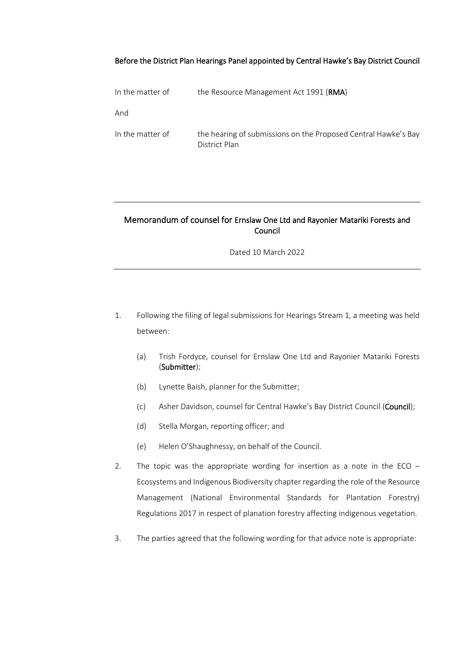### Before the District Plan Hearings Panel appointed by Central Hawke's Bay District Council

| In the matter of | the Resource Management Act 1991 ( <b>RMA</b> )                                 |
|------------------|---------------------------------------------------------------------------------|
| And              |                                                                                 |
| In the matter of | the hearing of submissions on the Proposed Central Hawke's Bay<br>District Plan |

# Memorandum of counsel for Ernslaw One Ltd and Rayonier Matariki Forests and Council

Dated 10 March 2022

- 1. Following the filing of legal submissions for Hearings Stream 1, a meeting was held between:
	- (a) Trish Fordyce, counsel for Ernslaw One Ltd and Rayonier Matariki Forests (Submitter);
	- (b) Lynette Baish, planner for the Submitter;
	- (c) Asher Davidson, counsel for Central Hawke's Bay District Council (Council);
	- (d) Stella Morgan, reporting officer; and
	- (e) Helen O'Shaughnessy, on behalf of the Council.
- 2. The topic was the appropriate wording for insertion as a note in the ECO  $-$ Ecosystems and Indigenous Biodiversity chapter regarding the role of the Resource Management (National Environmental Standards for Plantation Forestry) Regulations 2017 in respect of planation forestry affecting indigenous vegetation.
- 3. The parties agreed that the following wording for that advice note is appropriate: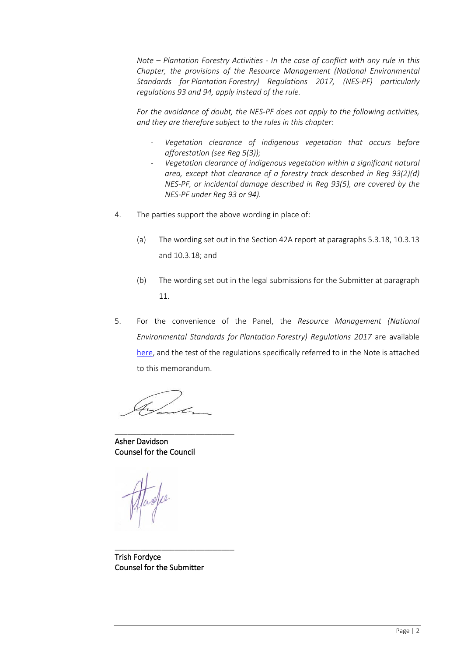*Note – Plantation Forestry Activities - In the case of conflict with any rule in this Chapter, the provisions of the Resource Management (National Environmental Standards for Plantation Forestry) Regulations 2017, (NES-PF) particularly regulations 93 and 94, apply instead of the rule.* 

*For the avoidance of doubt, the NES-PF does not apply to the following activities, and they are therefore subject to the rules in this chapter:*

- *Vegetation clearance of indigenous vegetation that occurs before afforestation (see Reg 5(3));*
- *Vegetation clearance of indigenous vegetation within a significant natural area, except that clearance of a forestry track described in Reg 93(2)(d) NES-PF, or incidental damage described in Reg 93(5), are covered by the NES-PF under Reg 93 or 94).*
- 4. The parties support the above wording in place of:
	- (a) The wording set out in the Section 42A report at paragraphs 5.3.18, 10.3.13 and 10.3.18; and
	- (b) The wording set out in the legal submissions for the Submitter at paragraph 11.
- 5. For the convenience of the Panel, the *Resource Management (National Environmental Standards for Plantation Forestry) Regulations 2017* are available [here,](https://www.legislation.govt.nz/regulation/public/2017/0174/latest/DLM7373517.html?search=sw_096be8ed818902bf_93_25_se&p=1#DLM7372476) and the test of the regulations specifically referred to in the Note is attached to this memorandum.

\_\_\_\_\_\_\_\_\_\_\_\_\_\_\_\_\_\_\_\_\_\_\_\_\_\_\_\_

Asher Davidson Counsel for the Council

Trish Fordyce Counsel for the Submitter

\_\_\_\_\_\_\_\_\_\_\_\_\_\_\_\_\_\_\_\_\_\_\_\_\_\_\_\_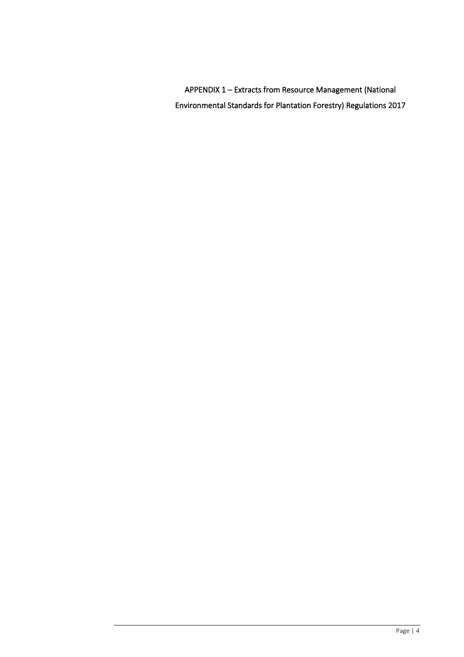APPENDIX 1 – Extracts from Resource Management (National Environmental Standards for Plantation Forestry) Regulations 2017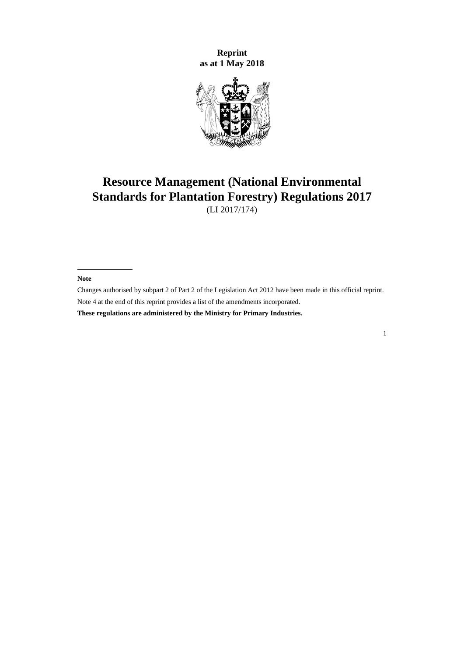**Reprint as at 1 May 2018**



# **Resource Management (National Environmental Standards for Plantation Forestry) Regulations 2017**

(LI 2017/174)

**Note**

Changes authorised b[y subpart 2](http://legislation.govt.nz/pdflink.aspx?id=DLM2998524) of Part 2 of the Legislation Act 2012 have been made in this official reprint. Note 4 at the end of this reprint provides a list of the amendments incorporated.

**These regulations are administered by the Ministry for Primary Industries.**

1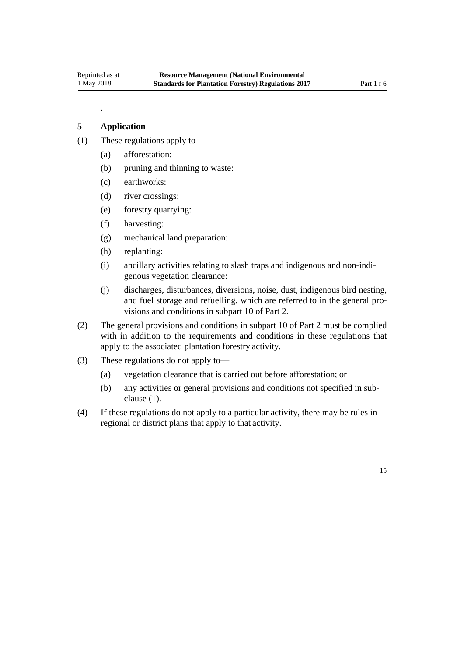.

# **5 Application**

- (1) These regulations apply to—
	- (a) afforestation:
	- (b) pruning and thinning to waste:
	- (c) earthworks:
	- (d) river crossings:
	- (e) forestry quarrying:
	- (f) harvesting:
	- (g) mechanical land preparation:
	- (h) replanting:
	- (i) ancillary activities relating to slash traps and indigenous and non-indigenous vegetation clearance:
	- (j) discharges, disturbances, diversions, noise, dust, indigenous bird nesting, and fuel storage and refuelling, which are referred to in the general provisions and conditions in subpart 10 of Part 2.
- (2) The general provisions and conditions in subpart 10 of Part 2 must be complied with in addition to the requirements and conditions in these regulations that apply to the associated plantation forestry activity.
- (3) These regulations do not apply to—
	- (a) vegetation clearance that is carried out before afforestation; or
	- (b) any activities or general provisions and conditions not specified in subclause (1).
- (4) If these regulations do not apply to a particular activity, there may be rules in regional or district plans that apply to that activity.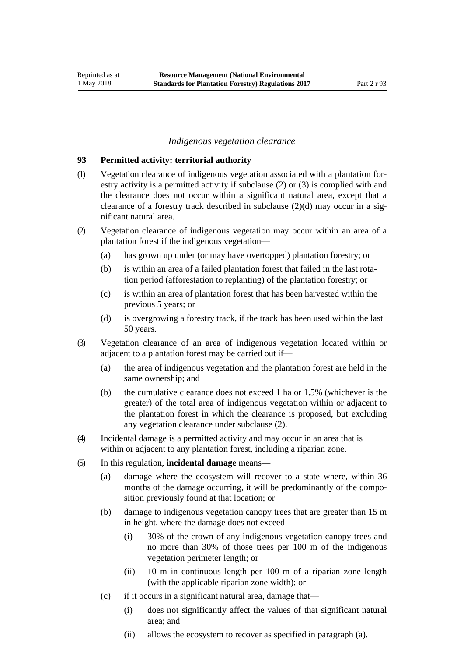## *Indigenous vegetation clearance*

#### <span id="page-5-0"></span>**93 Permitted activity: territorial authority**

- (1) Vegetation clearance of indigenous vegetation associated with a plantation forestry activity is a permitted activity if subclause (2) or (3) is complied with and the clearance does not occur within a significant natural area, except that a clearance of a forestry track described in subclause (2)(d) may occur in a significant natural area.
- (2) Vegetation clearance of indigenous vegetation may occur within an area of a plantation forest if the indigenous vegetation—
	- (a) has grown up under (or may have overtopped) plantation forestry; or
	- (b) is within an area of a failed plantation forest that failed in the last rotation period (afforestation to replanting) of the plantation forestry; or
	- (c) is within an area of plantation forest that has been harvested within the previous 5 years; or
	- (d) is overgrowing a forestry track, if the track has been used within the last 50 years.
- (3) Vegetation clearance of an area of indigenous vegetation located within or adjacent to a plantation forest may be carried out if—
	- (a) the area of indigenous vegetation and the plantation forest are held in the same ownership; and
	- (b) the cumulative clearance does not exceed 1 ha or 1.5% (whichever is the greater) of the total area of indigenous vegetation within or adjacent to the plantation forest in which the clearance is proposed, but excluding any vegetation clearance under subclause (2).
- (4) Incidental damage is a permitted activity and may occur in an area that is within or adjacent to any plantation forest, including a riparian zone.
- (5) In this regulation, **incidental damage** means—
	- (a) damage where the ecosystem will recover to a state where, within 36 months of the damage occurring, it will be predominantly of the composition previously found at that location; or
	- (b) damage to indigenous vegetation canopy trees that are greater than 15 m in height, where the damage does not exceed—
		- (i) 30% of the crown of any indigenous vegetation canopy trees and no more than 30% of those trees per 100 m of the indigenous vegetation perimeter length; or
		- (ii) 10 m in continuous length per 100 m of a riparian zone length (with the applicable riparian zone width); or
	- (c) if it occurs in a significant natural area, damage that—
		- (i) does not significantly affect the values of that significant natural area; and
		- (ii) allows the ecosystem to recover as specified in paragraph (a).